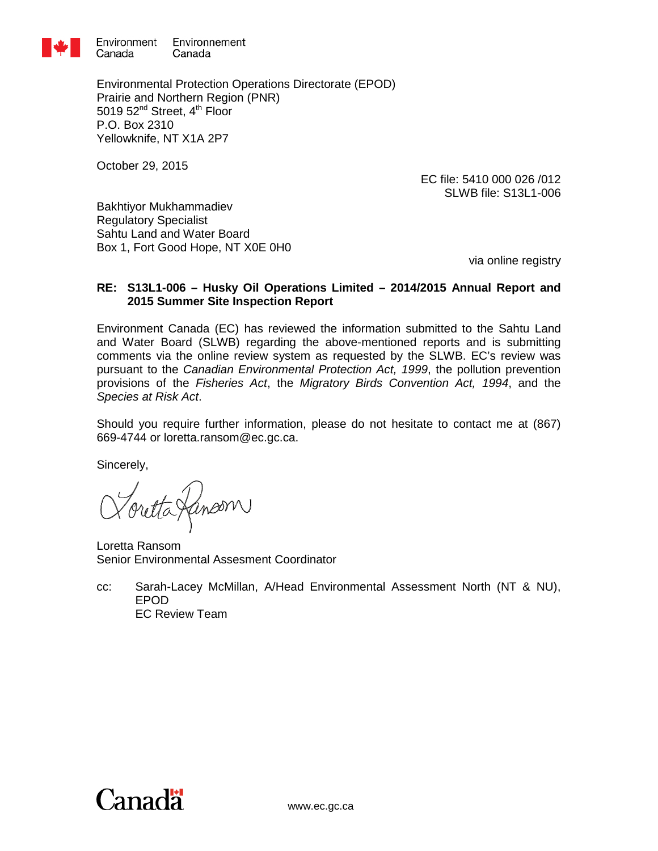

Environmental Protection Operations Directorate (EPOD) Prairie and Northern Region (PNR) 5019  $52<sup>nd</sup>$  Street,  $4<sup>th</sup>$  Floor P.O. Box 2310 Yellowknife, NT X1A 2P7

October 29, 2015

EC file: 5410 000 026 /012 SLWB file: S13L1-006

[Bakhtiyor Mukhammadiev](mailto:b.mukhammadiev@slwb.com?subject=Husky%20Oil%20Operations%20Ltd.%20-%20The%202014/2015%20Annual%20Report%20and%202015%20Summer%20Site%20Inspection%20Report%20(S13L1-006)) Regulatory Specialist Sahtu Land and Water Board Box 1, Fort Good Hope, NT X0E 0H0

via online registry

# **RE: S13L1-006 – Husky Oil Operations Limited – 2014/2015 Annual Report and 2015 Summer Site Inspection Report**

Environment Canada (EC) has reviewed the information submitted to the Sahtu Land and Water Board (SLWB) regarding the above-mentioned reports and is submitting comments via the online review system as requested by the SLWB. EC's review was pursuant to the *Canadian Environmental Protection Act, 1999*, the pollution prevention provisions of the *Fisheries Act*, the *Migratory Birds Convention Act, 1994*, and the *Species at Risk Act*.

Should you require further information, please do not hesitate to contact me at (867) 669-4744 or loretta.ransom@ec.gc.ca.

Sincerely,

inoom)

Loretta Ransom Senior Environmental Assesment Coordinator

cc: Sarah-Lacey McMillan, A/Head Environmental Assessment North (NT & NU), EPOD EC Review Team